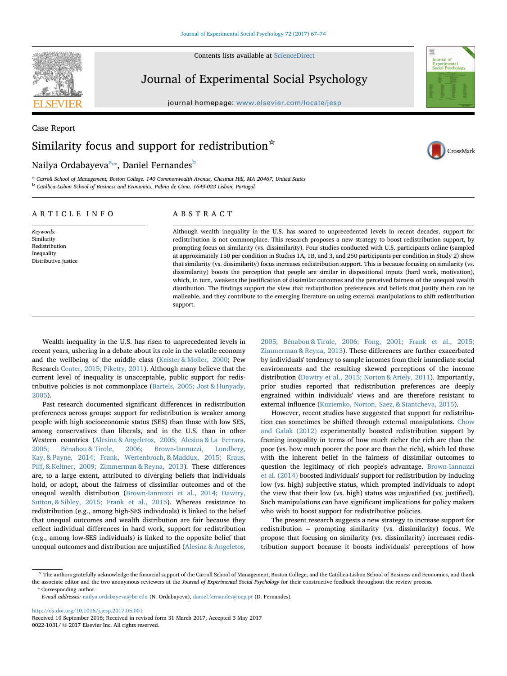Contents lists available at [ScienceDirect](http://www.sciencedirect.com/science/journal/00221031)



Journal of Experimental Social Psychology

journal homepage: [www.elsevier.com/locate/jesp](http://www.elsevier.com/locate/jesp)



# Case Report Similarity focus and support for redistribution  $\dot{\mathbf{x}}$



## Nailya Ordabayeva<sup>[a,](#page-0-0)</sup>\*, Daniel Fernandes<sup>[b](#page-0-2)</sup>

<span id="page-0-2"></span><span id="page-0-0"></span><sup>a</sup> Carroll School of Management, Boston College, 140 Commonwealth Avenue, Chestnut Hill, MA 20467, United States <sup>b</sup> Católica-Lisbon School of Business and Economics, Palma de Cima, 1649-023 Lisbon, Portugal

## ARTICLE INFO

Keywords: Similarity Redistribution Inequality Distributive justice ABSTRACT

Although wealth inequality in the U.S. has soared to unprecedented levels in recent decades, support for redistribution is not commonplace. This research proposes a new strategy to boost redistribution support, by prompting focus on similarity (vs. dissimilarity). Four studies conducted with U.S. participants online (sampled at approximately 150 per condition in Studies 1A, 1B, and 3, and 250 participants per condition in Study 2) show that similarity (vs. dissimilarity) focus increases redistribution support. This is because focusing on similarity (vs. dissimilarity) boosts the perception that people are similar in dispositional inputs (hard work, motivation), which, in turn, weakens the justification of dissimilar outcomes and the perceived fairness of the unequal wealth distribution. The findings support the view that redistribution preferences and beliefs that justify them can be malleable, and they contribute to the emerging literature on using external manipulations to shift redistribution support.

Wealth inequality in the U.S. has risen to unprecedented levels in recent years, ushering in a debate about its role in the volatile economy and the wellbeing of the middle class [\(Keister & Moller, 2000;](#page-7-0) Pew Research [Center, 2015; Piketty, 2011](#page-7-1)). Although many believe that the current level of inequality is unacceptable, public support for redistributive policies is not commonplace [\(Bartels, 2005; Jost & Hunyady,](#page-7-2) [2005\)](#page-7-2).

Past research documented significant differences in redistribution preferences across groups: support for redistribution is weaker among people with high socioeconomic status (SES) than those with low SES, among conservatives than liberals, and in the U.S. than in other Western countries ([Alesina & Angeletos, 2005; Alesina & La Ferrara,](#page-7-3) [2005; Bénabou & Tirole, 2006; Brown-Iannuzzi, Lundberg,](#page-7-3) [Kay, & Payne, 2014; Frank, Wertenbroch, & Maddux, 2015; Kraus,](#page-7-3) Piff[, & Keltner, 2009; Zimmerman & Reyna, 2013\)](#page-7-3). These differences are, to a large extent, attributed to diverging beliefs that individuals hold, or adopt, about the fairness of dissimilar outcomes and of the unequal wealth distribution [\(Brown-Iannuzzi et al., 2014; Dawtry,](#page-7-4) [Sutton, & Sibley, 2015; Frank et al., 2015](#page-7-4)). Whereas resistance to redistribution (e.g., among high-SES individuals) is linked to the belief that unequal outcomes and wealth distribution are fair because they reflect individual differences in hard work, support for redistribution (e.g., among low-SES individuals) is linked to the opposite belief that unequal outcomes and distribution are unjustified [\(Alesina & Angeletos,](#page-7-3)

[2005; Bénabou & Tirole, 2006; Fong, 2001; Frank et al., 2015;](#page-7-3) [Zimmerman & Reyna, 2013\)](#page-7-3). These differences are further exacerbated by individuals' tendency to sample incomes from their immediate social environments and the resulting skewed perceptions of the income distribution ([Dawtry et al., 2015; Norton & Ariely, 2011\)](#page-7-5). Importantly, prior studies reported that redistribution preferences are deeply engrained within individuals' views and are therefore resistant to external influence [\(Kuziemko, Norton, Saez, & Stantcheva, 2015\)](#page-7-6).

However, recent studies have suggested that support for redistribution can sometimes be shifted through external manipulations. [Chow](#page-7-7) [and Galak \(2012\)](#page-7-7) experimentally boosted redistribution support by framing inequality in terms of how much richer the rich are than the poor (vs. how much poorer the poor are than the rich), which led those with the inherent belief in the fairness of dissimilar outcomes to question the legitimacy of rich people's advantage. [Brown-Iannuzzi](#page-7-4) [et al. \(2014\)](#page-7-4) boosted individuals' support for redistribution by inducing low (vs. high) subjective status, which prompted individuals to adopt the view that their low (vs. high) status was unjustified (vs. justified). Such manipulations can have significant implications for policy makers who wish to boost support for redistributive policies.

The present research suggests a new strategy to increase support for redistribution – prompting similarity (vs. dissimilarity) focus. We propose that focusing on similarity (vs. dissimilarity) increases redistribution support because it boosts individuals' perceptions of how

<http://dx.doi.org/10.1016/j.jesp.2017.05.001> Received 10 September 2016; Received in revised form 31 March 2017; Accepted 3 May 2017 0022-1031/ © 2017 Elsevier Inc. All rights reserved.

<span id="page-0-1"></span><sup>☆</sup> The authors gratefully acknowledge the financial support of the Carroll School of Management, Boston College, and the Católica-Lisbon School of Business and Economics, and thank the associate editor and the two anonymous reviewers at the Journal of Experimental Social Psychology for their constructive feedback throughout the review process.<br>
<sup>\*</sup> Corresponding author.

E-mail addresses: [nailya.ordabayeva@bc.edu](mailto:nailya.ordabayeva@bc.edu) (N. Ordabayeva), [daniel.fernandes@ucp.pt](mailto:daniel.fernandes@ucp.pt) (D. Fernandes).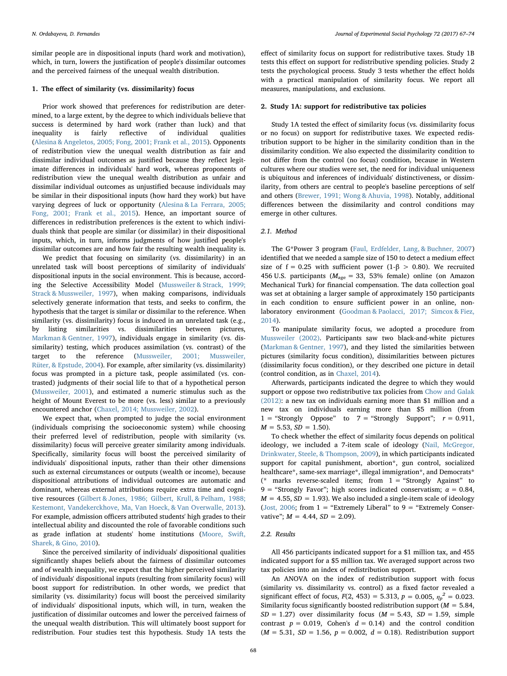similar people are in dispositional inputs (hard work and motivation), which, in turn, lowers the justification of people's dissimilar outcomes and the perceived fairness of the unequal wealth distribution.

#### 1. The effect of similarity (vs. dissimilarity) focus

Prior work showed that preferences for redistribution are determined, to a large extent, by the degree to which individuals believe that success is determined by hard work (rather than luck) and that inequality is fairly reflective of individual qualities ([Alesina & Angeletos, 2005; Fong, 2001; Frank et al., 2015](#page-7-3)). Opponents of redistribution view the unequal wealth distribution as fair and dissimilar individual outcomes as justified because they reflect legitimate differences in individuals' hard work, whereas proponents of redistribution view the unequal wealth distribution as unfair and dissimilar individual outcomes as unjustified because individuals may be similar in their dispositional inputs (how hard they work) but have varying degrees of luck or opportunity ([Alesina & La Ferrara, 2005;](#page-7-8) [Fong, 2001; Frank et al., 2015](#page-7-8)). Hence, an important source of differences in redistribution preferences is the extent to which individuals think that people are similar (or dissimilar) in their dispositional inputs, which, in turn, informs judgments of how justified people's dissimilar outcomes are and how fair the resulting wealth inequality is.

We predict that focusing on similarity (vs. dissimilarity) in an unrelated task will boost perceptions of similarity of individuals' dispositional inputs in the social environment. This is because, according the Selective Accessibility Model ([Mussweiler & Strack, 1999;](#page-7-9) [Strack & Mussweiler, 1997](#page-7-9)), when making comparisons, individuals selectively generate information that tests, and seeks to confirm, the hypothesis that the target is similar or dissimilar to the reference. When similarity (vs. dissimilarity) focus is induced in an unrelated task (e.g., by listing similarities vs. dissimilarities between pictures, [Markman & Gentner, 1997](#page-7-10)), individuals engage in similarity (vs. dissimilarity) testing, which produces assimilation (vs. contrast) of the target to the reference [\(Mussweiler, 2001; Mussweiler,](#page-7-11) [Rüter, & Epstude, 2004](#page-7-11)). For example, after similarity (vs. dissimilarity) focus was prompted in a picture task, people assimilated (vs. contrasted) judgments of their social life to that of a hypothetical person ([Mussweiler, 2001\)](#page-7-11), and estimated a numeric stimulus such as the height of Mount Everest to be more (vs. less) similar to a previously encountered anchor ([Chaxel, 2014; Mussweiler, 2002](#page-7-12)).

We expect that, when prompted to judge the social environment (individuals comprising the socioeconomic system) while choosing their preferred level of redistribution, people with similarity (vs. dissimilarity) focus will perceive greater similarity among individuals. Specifically, similarity focus will boost the perceived similarity of individuals' dispositional inputs, rather than their other dimensions such as external circumstances or outputs (wealth or income), because dispositional attributions of individual outcomes are automatic and dominant, whereas external attributions require extra time and cognitive resources [\(Gilbert & Jones, 1986; Gilbert, Krull, & Pelham, 1988;](#page-7-13) [Kestemont, Vandekerckhove, Ma, Van Hoeck, & Van Overwalle, 2013](#page-7-13)). For example, admission officers attributed students' high grades to their intellectual ability and discounted the role of favorable conditions such as grade inflation at students' home institutions [\(Moore, Swift,](#page-7-14) [Sharek, & Gino, 2010](#page-7-14)).

Since the perceived similarity of individuals' dispositional qualities significantly shapes beliefs about the fairness of dissimilar outcomes and of wealth inequality, we expect that the higher perceived similarity of individuals' dispositional inputs (resulting from similarity focus) will boost support for redistribution. In other words, we predict that similarity (vs. dissimilarity) focus will boost the perceived similarity of individuals' dispositional inputs, which will, in turn, weaken the justification of dissimilar outcomes and lower the perceived fairness of the unequal wealth distribution. This will ultimately boost support for redistribution. Four studies test this hypothesis. Study 1A tests the

effect of similarity focus on support for redistributive taxes. Study 1B tests this effect on support for redistributive spending policies. Study 2 tests the psychological process. Study 3 tests whether the effect holds with a practical manipulation of similarity focus. We report all measures, manipulations, and exclusions.

## 2. Study 1A: support for redistributive tax policies

Study 1A tested the effect of similarity focus (vs. dissimilarity focus or no focus) on support for redistributive taxes. We expected redistribution support to be higher in the similarity condition than in the dissimilarity condition. We also expected the dissimilarity condition to not differ from the control (no focus) condition, because in Western cultures where our studies were set, the need for individual uniqueness is ubiquitous and inferences of individuals' distinctiveness, or dissimilarity, from others are central to people's baseline perceptions of self and others [\(Brewer, 1991; Wong & Ahuvia, 1998\)](#page-7-15). Notably, additional differences between the dissimilarity and control conditions may emerge in other cultures.

## 2.1. Method

The G\*Power 3 program ([Faul, Erdfelder, Lang, & Buchner, 2007\)](#page-7-16) identified that we needed a sample size of 150 to detect a medium effect size of f = 0.25 with sufficient power (1- $\beta$  > 0.80). We recruited 456 U.S. participants ( $M_{\text{age}} = 33$ , 53% female) online (on Amazon Mechanical Turk) for financial compensation. The data collection goal was set at obtaining a larger sample of approximately 150 participants in each condition to ensure sufficient power in an online, nonlaboratory environment ([Goodman & Paolacci, 2017; Simcox & Fiez,](#page-7-17) [2014\)](#page-7-17).

To manipulate similarity focus, we adopted a procedure from [Mussweiler \(2002\).](#page-7-18) Participants saw two black-and-white pictures ([Markman & Gentner, 1997\)](#page-7-10), and they listed the similarities between pictures (similarity focus condition), dissimilarities between pictures (dissimilarity focus condition), or they described one picture in detail (control condition, as in [Chaxel, 2014\)](#page-7-12).

Afterwards, participants indicated the degree to which they would support or oppose two redistributive tax policies from [Chow and Galak](#page-7-7) [\(2012\):](#page-7-7) a new tax on individuals earning more than \$1 million and a new tax on individuals earning more than \$5 million (from  $1 =$  "Strongly Oppose" to  $7 =$  "Strongly Support";  $r = 0.911$ ,  $M = 5.53, SD = 1.50$ .

To check whether the effect of similarity focus depends on political ideology, we included a 7-item scale of ideology [\(Nail, McGregor,](#page-7-19) [Drinkwater, Steele, & Thompson, 2009\)](#page-7-19), in which participants indicated support for capital punishment, abortion\*, gun control, socialized healthcare\*, same-sex marriage\*, illegal immigration\*, and Democrats\* (\* marks reverse-scaled items; from 1 = "Strongly Against" to 9 = "Strongly Favor"; high scores indicated conservatism;  $\alpha$  = 0.84,  $M = 4.55$ ,  $SD = 1.93$ ). We also included a single-item scale of ideology ([Jost, 2006;](#page-7-20) from  $1 =$  "Extremely Liberal" to  $9 =$  "Extremely Conservative";  $M = 4.44$ ,  $SD = 2.09$ ).

## 2.2. Results

All 456 participants indicated support for a \$1 million tax, and 455 indicated support for a \$5 million tax. We averaged support across two tax policies into an index of redistribution support.

An ANOVA on the index of redistribution support with focus (similarity vs. dissimilarity vs. control) as a fixed factor revealed a significant effect of focus,  $F(2, 453) = 5.313$ ,  $p = 0.005$ ,  $\eta_p^2 = 0.023$ . Similarity focus significantly boosted redistribution support ( $M = 5.84$ ,  $SD = 1.27$ ) over dissimilarity focus ( $M = 5.43$ ,  $SD = 1.59$ , simple contrast  $p = 0.019$ , Cohen's  $d = 0.14$ ) and the control condition  $(M = 5.31, SD = 1.56, p = 0.002, d = 0.18)$ . Redistribution support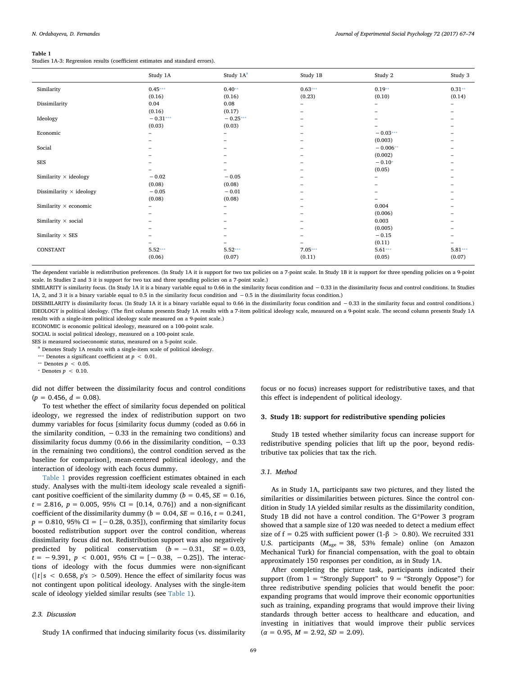#### <span id="page-2-0"></span>Table 1

Studies 1A-3: Regression results (coefficient estimates and standard errors).

|                                 | Study 1A   | Study 1A <sup>a</sup> | Study 1B                 | Study 2    | Study 3   |
|---------------------------------|------------|-----------------------|--------------------------|------------|-----------|
| Similarity                      | $0.45***$  | $0.40**$              | $0.63***$                | $0.19**$   | $0.31**$  |
|                                 | (0.16)     | (0.16)                | (0.23)                   | (0.10)     | (0.14)    |
| Dissimilarity                   | 0.04       | 0.08                  | -                        | -          |           |
|                                 | (0.16)     | (0.17)                | -                        | -          |           |
| Ideology                        | $-0.31***$ | $-0.25***$            | -                        |            |           |
|                                 | (0.03)     | (0.03)                | -                        |            |           |
| Economic                        |            | $\qquad \qquad -$     |                          | $-0.03***$ |           |
|                                 |            |                       |                          | (0.003)    |           |
| Social                          |            |                       | $\overline{\phantom{0}}$ | $-0.006**$ |           |
|                                 |            |                       |                          | (0.002)    |           |
| SES                             |            |                       |                          | $-0.10*$   |           |
|                                 |            |                       | -                        | (0.05)     |           |
| Similarity $\times$ ideology    | $-0.02$    | $-0.05$               | -                        | -          |           |
|                                 | (0.08)     | (0.08)                | -                        |            |           |
| Dissimilarity $\times$ ideology | $-0.05$    | $-0.01$               |                          |            |           |
|                                 | (0.08)     | (0.08)                |                          |            |           |
| Similarity $\times$ economic    |            |                       |                          | 0.004      |           |
|                                 |            |                       |                          | (0.006)    |           |
| Similarity $\times$ social      |            |                       |                          | 0.003      |           |
|                                 |            |                       |                          | (0.005)    |           |
| Similarity $\times$ SES         |            |                       |                          | $-0.15$    |           |
|                                 |            |                       |                          | (0.11)     |           |
| CONSTANT                        | $5.52***$  | $5.52***$             | $7.05***$                | $5.61***$  | $5.81***$ |
|                                 | (0.06)     | (0.07)                | (0.11)                   | (0.05)     | (0.07)    |

The dependent variable is redistribution preferences. (In Study 1A it is support for two tax policies on a 7-point scale. In Study 1B it is support for three spending policies on a 9-point scale. In Studies 2 and 3 it is support for two tax and three spending policies on a 7-point scale.)

SIMILARITY is similarity focus. (In Study 1A it is a binary variable equal to 0.66 in the similarity focus condition and −0.33 in the dissimilarity focus and control conditions. In Studies 1A, 2, and 3 it is a binary variable equal to 0.5 in the similarity focus condition and −0.5 in the dissimilarity focus condition.)

DISSIMILARITY is dissimilarity focus. (In Study 1A it is a binary variable equal to 0.66 in the dissimilarity focus condition and −0.33 in the similarity focus and control conditions.) IDEOLOGY is political ideology. (The first column presents Study 1A results with a 7-item political ideology scale, measured on a 9-point scale. The second column presents Study 1A results with a single-item political ideology scale measured on a 9-point scale.)

ECONOMIC is economic political ideology, measured on a 100-point scale.

SOCIAL is social political ideology, measured on a 100-point scale.

SES is measured socioeconomic status, measured on a 5-point scale.

<span id="page-2-1"></span><sup>a</sup> Denotes Study 1A results with a single-item scale of political ideology.

<span id="page-2-2"></span>\*\*\* Denotes a significant coefficient at  $p < 0.01$ .

<span id="page-2-3"></span>\*\* Denotes  $p < 0.05$ .

<span id="page-2-4"></span>\* Denotes  $p < 0.10$ .

did not differ between the dissimilarity focus and control conditions  $(p = 0.456, d = 0.08).$ 

To test whether the effect of similarity focus depended on political ideology, we regressed the index of redistribution support on two dummy variables for focus [similarity focus dummy (coded as 0.66 in the similarity condition,  $-0.33$  in the remaining two conditions) and dissimilarity focus dummy (0.66 in the dissimilarity condition,  $-0.33$ in the remaining two conditions), the control condition served as the baseline for comparison], mean-centered political ideology, and the interaction of ideology with each focus dummy.

[Table 1](#page-2-0) provides regression coefficient estimates obtained in each study. Analyses with the multi-item ideology scale revealed a significant positive coefficient of the similarity dummy ( $b = 0.45$ ,  $SE = 0.16$ ,  $t = 2.816$ ,  $p = 0.005$ , 95% CI = [0.14, 0.76]) and a non-significant coefficient of the dissimilarity dummy ( $b = 0.04$ ,  $SE = 0.16$ ,  $t = 0.241$ ,  $p = 0.810, 95\% \text{ CI} = [-0.28, 0.35]$ , confirming that similarity focus boosted redistribution support over the control condition, whereas dissimilarity focus did not. Redistribution support was also negatively predicted by political conservatism  $(b = -0.31, \, SE = 0.03,$  $t = -9.391, p < 0.001, 95\%$  CI = [-0.38, -0.25]). The interactions of ideology with the focus dummies were non-significant  $(|t|s < 0.658, p's > 0.509)$ . Hence the effect of similarity focus was not contingent upon political ideology. Analyses with the single-item scale of ideology yielded similar results (see [Table 1](#page-2-0)).

#### 2.3. Discussion

Study 1A confirmed that inducing similarity focus (vs. dissimilarity

focus or no focus) increases support for redistributive taxes, and that this effect is independent of political ideology.

## 3. Study 1B: support for redistributive spending policies

Study 1B tested whether similarity focus can increase support for redistributive spending policies that lift up the poor, beyond redistributive tax policies that tax the rich.

#### 3.1. Method

As in Study 1A, participants saw two pictures, and they listed the similarities or dissimilarities between pictures. Since the control condition in Study 1A yielded similar results as the dissimilarity condition, Study 1B did not have a control condition. The G\*Power 3 program showed that a sample size of 120 was needed to detect a medium effect size of f = 0.25 with sufficient power (1- $\beta$  > 0.80). We recruited 331 U.S. participants  $(M<sub>ave</sub> = 38, 53%$  female) online (on Amazon Mechanical Turk) for financial compensation, with the goal to obtain approximately 150 responses per condition, as in Study 1A.

After completing the picture task, participants indicated their support (from  $1$  = "Strongly Support" to  $9$  = "Strongly Oppose") for three redistributive spending policies that would benefit the poor: expanding programs that would improve their economic opportunities such as training, expanding programs that would improve their living standards through better access to healthcare and education, and investing in initiatives that would improve their public services  $(\alpha = 0.95, M = 2.92, SD = 2.09).$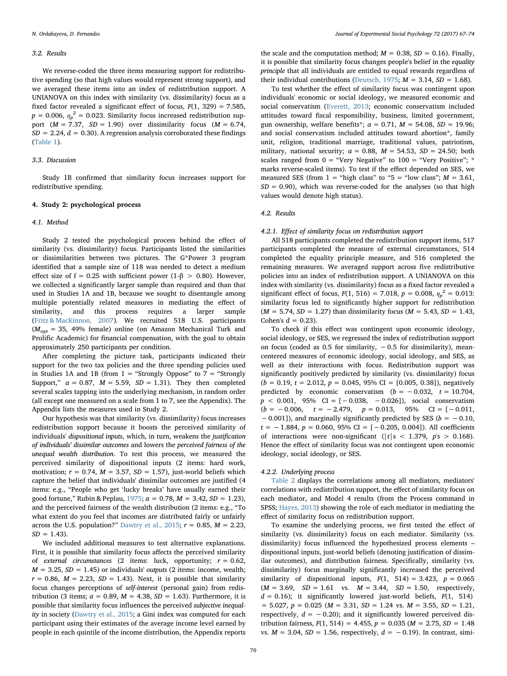#### 3.2. Results

We reverse-coded the three items measuring support for redistributive spending (so that high values would represent strong support), and we averaged these items into an index of redistribution support. A UNIANOVA on this index with similarity (vs. dissimilarity) focus as a fixed factor revealed a significant effect of focus,  $F(1, 329) = 7.585$ ,  $p = 0.006$ ,  $\eta_p^2 = 0.023$ . Similarity focus increased redistribution support  $(M = 7.37, SD = 1.90)$  over dissimilarity focus  $(M = 6.74,$  $SD = 2.24$ ,  $d = 0.30$ ). A regression analysis corroborated these findings ([Table 1](#page-2-0)).

### 3.3. Discussion

Study 1B confirmed that similarity focus increases support for redistributive spending.

## 4. Study 2: psychological process

#### 4.1. Method

Study 2 tested the psychological process behind the effect of similarity (vs. dissimilarity) focus. Participants listed the similarities or dissimilarities between two pictures. The G\*Power 3 program identified that a sample size of 118 was needed to detect a medium effect size of f = 0.25 with sufficient power (1-β > 0.80). However, we collected a significantly larger sample than required and than that used in Studies 1A and 1B, because we sought to disentangle among multiple potentially related measures in mediating the effect of similarity, and this process requires a larger sample ([Fritz & MacKinnon, 2007](#page-7-21)). We recruited 518 U.S. participants  $(M<sub>age</sub> = 35, 49%$  female) online (on Amazon Mechanical Turk and Prolific Academic) for financial compensation, with the goal to obtain approximately 250 participants per condition.

After completing the picture task, participants indicated their support for the two tax policies and the three spending policies used in Studies 1A and 1B (from  $1 =$  "Strongly Oppose" to  $7 =$  "Strongly Support,"  $\alpha = 0.87$ ,  $M = 5.59$ ,  $SD = 1.31$ ). They then completed several scales tapping into the underlying mechanism, in random order (all except one measured on a scale from 1 to 7, see the Appendix). The Appendix lists the measures used in Study 2.

Our hypothesis was that similarity (vs. dissimilarity) focus increases redistribution support because it boosts the perceived similarity of individuals' dispositional inputs, which, in turn, weakens the justification of individuals' dissimilar outcomes and lowers the perceived fairness of the unequal wealth distribution. To test this process, we measured the perceived similarity of dispositional inputs (2 items: hard work, motivation;  $r = 0.74$ ,  $M = 3.57$ ,  $SD = 1.57$ ), just-world beliefs which capture the belief that individuals' dissimilar outcomes are justified (4 items: e.g., "People who get 'lucky breaks' have usually earned their good fortune," Rubin & Peplau, [1975;](#page-7-22)  $\alpha = 0.78$ ,  $M = 3.42$ ,  $SD = 1.23$ ), and the perceived fairness of the wealth distribution (2 items: e.g., "To what extent do you feel that incomes are distributed fairly or unfairly across the U.S. population?" [Dawtry et al., 2015](#page-7-5);  $r = 0.85$ ,  $M = 2.23$ ,  $SD = 1.43$ ).

We included additional measures to test alternative explanations. First, it is possible that similarity focus affects the perceived similarity of external circumstances (2 items: luck, opportunity;  $r = 0.62$ ,  $M = 3.25$ ,  $SD = 1.45$ ) or individuals' outputs (2 items: income, wealth;  $r = 0.86$ ,  $M = 2.23$ ,  $SD = 1.43$ ). Next, it is possible that similarity focus changes perceptions of self-interest (personal gain) from redistribution (3 items;  $\alpha = 0.89$ ,  $M = 4.38$ ,  $SD = 1.63$ ). Furthermore, it is possible that similarity focus influences the perceived subjective inequality in society ([Dawtry et al., 2015](#page-7-5); a Gini index was computed for each participant using their estimates of the average income level earned by people in each quintile of the income distribution, the Appendix reports

the scale and the computation method;  $M = 0.38$ ,  $SD = 0.16$ ). Finally, it is possible that similarity focus changes people's belief in the equality principle that all individuals are entitled to equal rewards regardless of their individual contributions [\(Deutsch, 1975](#page-7-23);  $M = 3.14$ ,  $SD = 1.68$ ).

To test whether the effect of similarity focus was contingent upon individuals' economic or social ideology, we measured economic and social conservatism ([Everett, 2013](#page-7-24); economic conservatism included attitudes toward fiscal responsibility, business, limited government, gun ownership, welfare benefits\*;  $\alpha = 0.71$ ,  $M = 54.08$ ,  $SD = 19.96$ ; and social conservatism included attitudes toward abortion\*, family unit, religion, traditional marriage, traditional values, patriotism, military, national security;  $\alpha = 0.88$ ,  $M = 54.53$ ,  $SD = 24.50$ ; both scales ranged from  $0 =$  "Very Negative" to  $100 =$  "Very Positive"; \* marks reverse-scaled items). To test if the effect depended on SES, we measured SES (from  $1 =$  "high class" to "5 = "low class";  $M = 3.61$ ,  $SD = 0.90$ ), which was reverse-coded for the analyses (so that high values would denote high status).

#### 4.2. Results

#### 4.2.1. Effect of similarity focus on redistribution support

All 518 participants completed the redistribution support items, 517 participants completed the measure of external circumstances, 514 completed the equality principle measure, and 516 completed the remaining measures. We averaged support across five redistributive policies into an index of redistribution support. A UNIANOVA on this index with similarity (vs. dissimilarity) focus as a fixed factor revealed a significant effect of focus,  $F(1, 516) = 7.018$ ,  $p = 0.008$ ,  $\eta_p^2 = 0.013$ : similarity focus led to significantly higher support for redistribution  $(M = 5.74, SD = 1.27)$  than dissimilarity focus  $(M = 5.43, SD = 1.43,$ Cohen's  $d = 0.23$ ).

To check if this effect was contingent upon economic ideology, social ideology, or SES, we regressed the index of redistribution support on focus (coded as 0.5 for similarity, −0.5 for dissimilarity), meancentered measures of economic ideology, social ideology, and SES, as well as their interactions with focus. Redistribution support was significantly positively predicted by similarity (vs. dissimilarity) focus  $(b = 0.19, t = 2.012, p = 0.045, 95\% \text{ CI} = [0.005, 0.38]),$  negatively predicted by economic conservatism  $(b = -0.032, t = 10.704,$  $p < 0.001$ , 95% CI = [-0.038, -0.026]), social conservatism  $(b = -0.006, \quad t = -2.479, \quad p = 0.013, \quad 95\% \quad \text{CI} = [-0.011,$  $-0.001$ ]), and marginally significantly predicted by SES ( $b = -0.10$ ,  $t = -1.884$ ,  $p = 0.060$ , 95% CI = [-0.205, 0.004]). All coefficients of interactions were non-significant ( $|t|$  s < 1.379,  $p$ 's > 0.168). Hence the effect of similarity focus was not contingent upon economic ideology, social ideology, or SES.

#### 4.2.2. Underlying process

[Table 2](#page-4-0) displays the correlations among all mediators, mediators' correlations with redistribution support, the effect of similarity focus on each mediator, and Model 4 results (from the Process command in SPSS; [Hayes, 2013\)](#page-7-25) showing the role of each mediator in mediating the effect of similarity focus on redistribution support.

To examine the underlying process, we first tested the effect of similarity (vs. dissimilarity) focus on each mediator. Similarity (vs. dissimilarity) focus influenced the hypothesized process elements – dispositional inputs, just-world beliefs (denoting justification of dissimilar outcomes), and distribution fairness. Specifically, similarity (vs. dissimilarity) focus marginally significantly increased the perceived similarity of dispositional inputs,  $F(1, 514) = 3.423$ ,  $p = 0.065$  $(M = 3.69, SD = 1.61$  vs.  $M = 3.44, SD = 1.50$ , respectively,  $d = 0.16$ ; it significantly lowered just-world beliefs,  $F(1, 514)$  $= 5.027, p = 0.025$  ( $M = 3.31, SD = 1.24$  vs.  $M = 3.55, SD = 1.21$ , respectively,  $d = -0.20$ ); and it significantly lowered perceived distribution fairness,  $F(1, 514) = 4.455$ ,  $p = 0.035$  ( $M = 2.75$ ,  $SD = 1.48$ vs.  $M = 3.04$ ,  $SD = 1.56$ , respectively,  $d = -0.19$ ). In contrast, simi-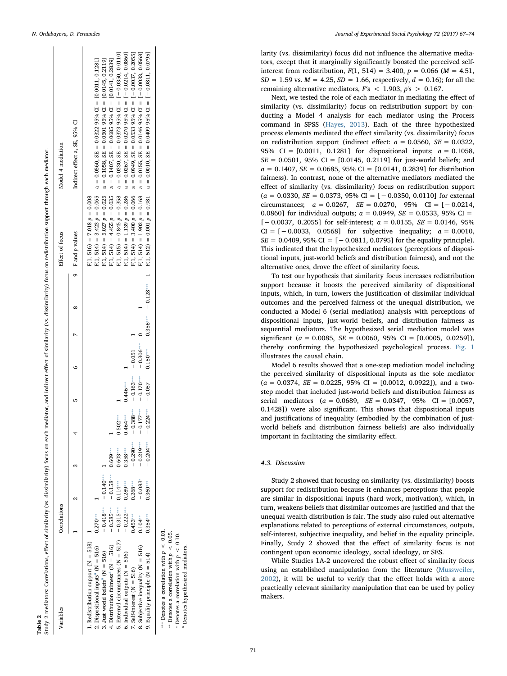<span id="page-4-0"></span>

|  | N. Ordabayeva, D. Fernandes |  |  |
|--|-----------------------------|--|--|
|--|-----------------------------|--|--|

<span id="page-4-4"></span><span id="page-4-3"></span><span id="page-4-2"></span> $- - - 98888$ 

| /ariables                                                                                                                                                                                                    | <b>Correlations</b>                      |                                       |                                        |                                  |                            |                         |  | Effect of focus    |                               | Model 4 mediation                                                                                                                                                                                                                                                                                                                                                   |
|--------------------------------------------------------------------------------------------------------------------------------------------------------------------------------------------------------------|------------------------------------------|---------------------------------------|----------------------------------------|----------------------------------|----------------------------|-------------------------|--|--------------------|-------------------------------|---------------------------------------------------------------------------------------------------------------------------------------------------------------------------------------------------------------------------------------------------------------------------------------------------------------------------------------------------------------------|
|                                                                                                                                                                                                              |                                          |                                       |                                        |                                  |                            |                         |  | 9 F and $p$ values |                               | Indirect effect a, SE, 95% CI                                                                                                                                                                                                                                                                                                                                       |
| Redistribution support $(N = 518)$<br>4. Distribution fairness <sup>4</sup> ( $N = 516$ )<br>2. Dispositional inputs <sup><math>a</math></sup> (N = 516)<br>3. Just world beliefs <sup>a</sup> ( $N = 516$ ) | $-0.418***$<br>$-0.585***$<br>$0.270***$ | $-0.140***$<br>$-0.158***$            | $0.609***$                             |                                  |                            |                         |  |                    | $F(1, 516) = 7.018 p = 0.008$ | F(1, 514) = 4.455 $p = 0.035$ a = 0.1407, SE = 0.0685 95% Cl = [0.0141, 0.2839]<br>F(1, 514) = 3.423 p = 0.065 a = 0.0560, SE = 0.0322 95% CI = [0.0011, 0.1281]<br>F(1, 514) = 5.027 $p = 0.025$ a = 0.1058, SE = 0.0501 95% CI = [0.0145, 0.2119]                                                                                                                 |
| External circumstances $(N = 517)$<br>6. Individual outputs $(N = 516)$                                                                                                                                      | $-0.222***$<br>$-0.315***$               | $0.114***$<br>$0.289***$              | $0.358***$<br>$0.603***$               | $0.464***$<br>$0.502***$         | $0.446***$                 | $\overline{a}$          |  |                    |                               | F(1, 514) = 1.139 p = 0.286 a = 0.267, SE = 0.370 95% CI = 1-0.0214, 0.0860]<br>F(1, 515) = 0.845 $p = 0.358$ a = 0.358 (0373 95% GI = 1 -0.0350, 0.0110]                                                                                                                                                                                                           |
| 8. Subjective inequality $(N = 516)$<br>9. Equality principle $(N = 514)$<br>$r.$ Self-interest (N = 516)                                                                                                    | $0.354***$<br>$0.453***$<br>$0.104***$   | $-0.083*$<br>$0.360***$<br>$0.268***$ | $-0.204***$<br>$-0.219***$<br>$-0.290$ | $-0.388$ $\cdots$<br>$-0.177***$ | $-0.163***$<br>$-0.170***$ | $-0.306***$<br>$-0.051$ |  |                    | $F(1, 514) = 1.902 p = 0.168$ | F(1, 514) = 3.400 $p = 0.066$ a = 0.0553395% OH = 1 = 1 -0.037, 0.2055]<br>$a = 0.0155$ , SE = 0.0146 95% $CI = [-0.0033, 0.0568]$<br>$-0.224$ $+$ $-0.2369$ $0.959$ $0.879$ $0.879$ $0.879$ $0.879$ $0.879$ $0.879$ $0.879$ $0.879$ $0.879$ $0.879$ $0.879$ $0.879$ $0.879$ $0.879$ $0.879$ $0.879$ $0.879$ $0.879$ $0.879$ $0.879$ $0.879$ $0.879$ $0.879$ $0.87$ |
|                                                                                                                                                                                                              |                                          |                                       |                                        |                                  |                            |                         |  |                    |                               |                                                                                                                                                                                                                                                                                                                                                                     |

Table 2

Study 2 mediators: Correlations, effect of similarity (vs. dissimilarity) focus on each mediator, and indirect effect of similarity (vs. dissimilarity) focus on redistribution support through each mediator.

Study 2 mediators: Correlations, effect of similarity (vs. dissimilarity) focus on each mediator, and indirect effect of similarity (vs. dissimilarity) focus on redistribution support through each mediator.

<span id="page-4-1"></span>larity (vs. dissimilarity) focus did not in fluence the alternative mediators, except that it marginally significantly boosted the perceived selfinterest from redistribution,  $F(1, 514) = 3.400$ ,  $p = 0.066$  ( $M = 4.51$ ,  $SD = 1.59$  vs.  $M = 4.25$ ,  $SD = 1.66$ , respectively,  $d = 0.16$ ); for all the

remaining alternative mediators,  $F's < 1.903$ ,  $p's > 0.167$ . Next, we tested the role of each mediator in mediating the e ffect of similarity (vs. dissimilarity) focus on redistribution support by conducting a Model 4 analysis for each mediator using the Process command in SPSS ([Hayes, 2013\)](#page-7-25). Each of the three hypothesized process elements mediated the e ffect similarity (vs. dissimilarity) focus on redistribution support (indirect effect:  $a = 0.0560$ ,  $SE = 0.0322$ , 95% CI =  $[0.0011, 0.1281]$  for dispositional inputs;  $a = 0.1058$ ,  $SE = 0.0501$ , 95% CI = [0.0145, 0.2119] for just-world beliefs; and  $a = 0.1407$ ,  $SE = 0.0685$ , 95% CI = [0.0141, 0.2839] for distribution fairness). In contrast, none of the alternative mediators mediated the effect of similarity (vs. dissimilarity) focus on redistribution support  $(a = 0.0330, SE = 0.0373, 95\% CI = [-0.0350, 0.0110]$  for external circumstances;  $a = 0.0267$ ,  $SE = 0.0270$ ,  $95\%$  CI = [-0.0214, 0.0860] for individual outputs;  $a = 0.0949$ ,  $SE = 0.0533$ , 95% CI =  $[-0.0037, 0.2055]$  for self-interest;  $a = 0.0155$ ,  $SE = 0.0146$ , 95% CI =  $[-0.0033, 0.0568]$  for subjective inequality;  $a = 0.0010$ ,  $SE = 0.0409, 95\% \text{ CI} = [-0.0811, 0.0795]$  for the equality principle). This indicated that the hypothesized mediators (perceptions of dispositional inputs, just-world beliefs and distribution fairness), and not the alternative ones, drove the e ffect of similarity focus.

To test our hypothesis that similarity focus increases redistribution support because it boosts the perceived similarity of dispositional inputs, which, in turn, lowers the justi fication of dissimilar individual outcomes and the perceived fairness of the unequal distribution, we conducted a Model 6 (serial mediation) analysis with perceptions of dispositional inputs, just-world beliefs, and distribution fairness as sequential mediators. The hypothesized serial mediation model was significant ( $a = 0.0085$ ,  $SE = 0.0060$ ,  $95\%$  CI = [0.0005, 0.0259]), thereby con firming the hypothesized psychological process. [Fig. 1](#page-5-0) illustrates the causal chain.

Model 6 results showed that a one-step mediation model including the perceived similarity of dispositional inputs as the sole mediator  $(a = 0.0374, SE = 0.0225, 95\% CI = [0.0012, 0.0922]),$  and a twostep model that included just-world beliefs and distribution fairness as serial mediators  $(a = 0.0689, \, SE = 0.0347, \, 95\% \, CI = [0.0057, \, 95\% \, CI]$ 0.1428]) were also signi ficant. This shows that dispositional inputs and justi fications of inequality (embodied by the combination of justworld beliefs and distribution fairness beliefs) are also individually important in facilitating the similarity e ffect.

## 4.3. Discussion

Study 2 showed that focusing on similarity (vs. dissimilarity) boosts support for redistribution because it enhances perceptions that people are similar in dispositional inputs (hard work, motivation), which, in turn, weakens beliefs that dissimilar outcomes are justi fied and that the unequal wealth distribution is fair. The study also ruled out alternative explanations related to perceptions of external circumstances, outputs, self-interest, subjective inequality, and belief in the equality principle. Finally, Study 2 showed that the e ffect of similarity focus is not contingent upon economic ideology, social ideology, or SES.

While Studies 1A-2 uncovered the robust e ffect of similarity focus using an established manipulation from the literature ([Mussweiler,](#page-7-18) [2002\)](#page-7-18), it will be useful to verify that the e ffect holds with a more practically relevant similarity manipulation that can be used by policy makers.

71

•••• Denotes a correlation with  $p < 0.01$ . <sup>₩</sup> Denotes a correlation with  $p < 0.05$ .  $\degree$  Denotes a correlation with  $p < 0.10$ . Denotes hypothesized mediators.

\*\*\* Denotes a correlation with  $p < 0.01$ Denotes a correlation with  $p < 0.05$ . Denotes a correlation with  $p < 0.10$ . Denotes hypothesized mediators.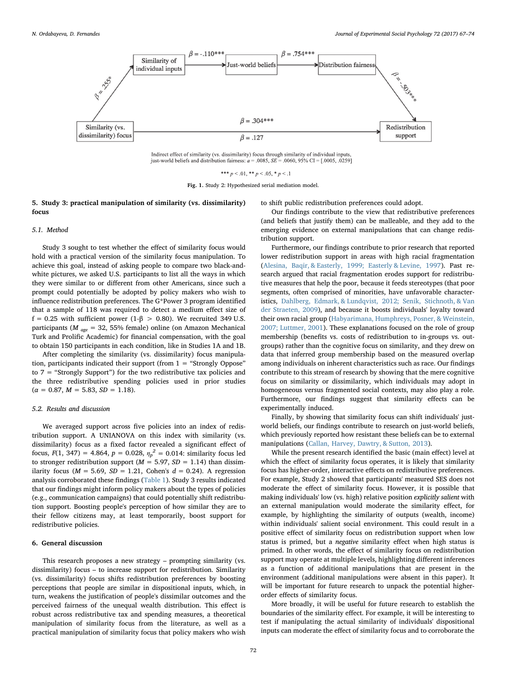<span id="page-5-0"></span>

Indirect effect of similarity (vs. dissimilarity) focus through similarity of individual inputs, just-world beliefs and distribution fairness:  $a = .0085$ ,  $SE = .0060$ ,  $95\%$  CI = [.0005, .0259]

\*\*\*  $p < .01$ , \*\*  $p < .05$ , \*  $p < .1$ 

Fig. 1. Study 2: Hypothesized serial mediation model.

## 5. Study 3: practical manipulation of similarity (vs. dissimilarity) focus

## 5.1. Method

Study 3 sought to test whether the effect of similarity focus would hold with a practical version of the similarity focus manipulation. To achieve this goal, instead of asking people to compare two black-andwhite pictures, we asked U.S. participants to list all the ways in which they were similar to or different from other Americans, since such a prompt could potentially be adopted by policy makers who wish to influence redistribution preferences. The G\*Power 3 program identified that a sample of 118 was required to detect a medium effect size of f = 0.25 with sufficient power (1- $\beta$  > 0.80). We recruited 349 U.S. participants ( $M_{age} = 32, 55\%$  female) online (on Amazon Mechanical Turk and Prolific Academic) for financial compensation, with the goal to obtain 150 participants in each condition, like in Studies 1A and 1B.

After completing the similarity (vs. dissimilarity) focus manipulation, participants indicated their support (from 1 = "Strongly Oppose" to 7 = "Strongly Support") for the two redistributive tax policies and the three redistributive spending policies used in prior studies  $(\alpha = 0.87, M = 5.83, SD = 1.18).$ 

#### 5.2. Results and discussion

We averaged support across five policies into an index of redistribution support. A UNIANOVA on this index with similarity (vs. dissimilarity) focus as a fixed factor revealed a significant effect of focus,  $F(1, 347) = 4.864$ ,  $p = 0.028$ ,  $\eta_p^2 = 0.014$ : similarity focus led to stronger redistribution support ( $M = 5.97$ ,  $SD = 1.14$ ) than dissimilarity focus ( $M = 5.69$ ,  $SD = 1.21$ , Cohen's  $d = 0.24$ ). A regression analysis corroborated these findings ([Table 1](#page-2-0)). Study 3 results indicated that our findings might inform policy makers about the types of policies (e.g., communication campaigns) that could potentially shift redistribution support. Boosting people's perception of how similar they are to their fellow citizens may, at least temporarily, boost support for redistributive policies.

## 6. General discussion

This research proposes a new strategy – prompting similarity (vs. dissimilarity) focus – to increase support for redistribution. Similarity (vs. dissimilarity) focus shifts redistribution preferences by boosting perceptions that people are similar in dispositional inputs, which, in turn, weakens the justification of people's dissimilar outcomes and the perceived fairness of the unequal wealth distribution. This effect is robust across redistributive tax and spending measures, a theoretical manipulation of similarity focus from the literature, as well as a practical manipulation of similarity focus that policy makers who wish

to shift public redistribution preferences could adopt.

Our findings contribute to the view that redistributive preferences (and beliefs that justify them) can be malleable, and they add to the emerging evidence on external manipulations that can change redistribution support.

Furthermore, our findings contribute to prior research that reported lower redistribution support in areas with high racial fragmentation ([Alesina, Baqir, & Easterly, 1999; Easterly & Levine, 1997](#page-7-26)). Past research argued that racial fragmentation erodes support for redistributive measures that help the poor, because it feeds stereotypes (that poor segments, often comprised of minorities, have unfavorable characteristics, [Dahlberg, Edmark, & Lundqvist, 2012; Senik, Stichnoth, & Van](#page-7-27) [der Straeten, 2009](#page-7-27)), and because it boosts individuals' loyalty toward their own racial group [\(Habyarimana, Humphreys, Posner, & Weinstein,](#page-7-28) [2007; Luttmer, 2001\)](#page-7-28). These explanations focused on the role of group membership (benefits vs. costs of redistribution to in-groups vs. outgroups) rather than the cognitive focus on similarity, and they drew on data that inferred group membership based on the measured overlap among individuals on inherent characteristics such as race. Our findings contribute to this stream of research by showing that the mere cognitive focus on similarity or dissimilarity, which individuals may adopt in homogeneous versus fragmented social contexts, may also play a role. Furthermore, our findings suggest that similarity effects can be experimentally induced.

Finally, by showing that similarity focus can shift individuals' justworld beliefs, our findings contribute to research on just-world beliefs, which previously reported how resistant these beliefs can be to external manipulations ([Callan, Harvey, Dawtry, & Sutton, 2013\)](#page-7-29).

While the present research identified the basic (main effect) level at which the effect of similarity focus operates, it is likely that similarity focus has higher-order, interactive effects on redistributive preferences. For example, Study 2 showed that participants' measured SES does not moderate the effect of similarity focus. However, it is possible that making individuals' low (vs. high) relative position explicitly salient with an external manipulation would moderate the similarity effect, for example, by highlighting the similarity of outputs (wealth, income) within individuals' salient social environment. This could result in a positive effect of similarity focus on redistribution support when low status is primed, but a negative similarity effect when high status is primed. In other words, the effect of similarity focus on redistribution support may operate at multiple levels, highlighting different inferences as a function of additional manipulations that are present in the environment (additional manipulations were absent in this paper). It will be important for future research to unpack the potential higherorder effects of similarity focus.

More broadly, it will be useful for future research to establish the boundaries of the similarity effect. For example, it will be interesting to test if manipulating the actual similarity of individuals' dispositional inputs can moderate the effect of similarity focus and to corroborate the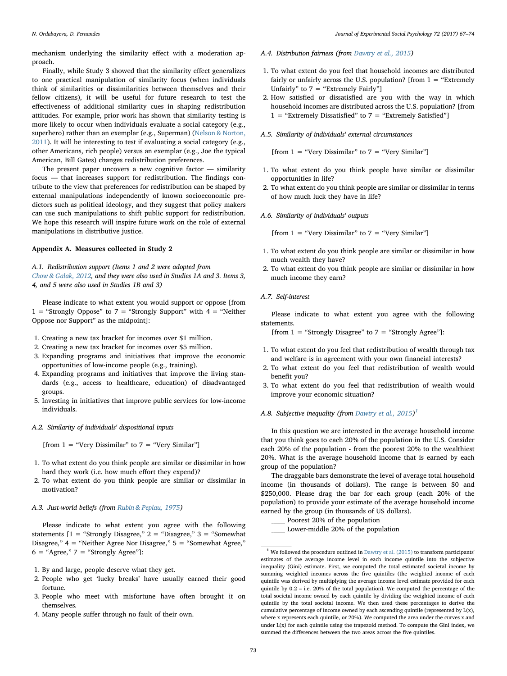mechanism underlying the similarity effect with a moderation approach.

Finally, while Study 3 showed that the similarity effect generalizes to one practical manipulation of similarity focus (when individuals think of similarities or dissimilarities between themselves and their fellow citizens), it will be useful for future research to test the effectiveness of additional similarity cues in shaping redistribution attitudes. For example, prior work has shown that similarity testing is more likely to occur when individuals evaluate a social category (e.g., superhero) rather than an exemplar (e.g., Superman) ([Nelson & Norton,](#page-7-30) [2011\)](#page-7-30). It will be interesting to test if evaluating a social category (e.g., other Americans, rich people) versus an exemplar (e.g., Joe the typical American, Bill Gates) changes redistribution preferences.

The present paper uncovers a new cognitive factor — similarity focus — that increases support for redistribution. The findings contribute to the view that preferences for redistribution can be shaped by external manipulations independently of known socioeconomic predictors such as political ideology, and they suggest that policy makers can use such manipulations to shift public support for redistribution. We hope this research will inspire future work on the role of external manipulations in distributive justice.

## Appendix A. Measures collected in Study 2

A.1. Redistribution support (Items 1 and 2 were adopted from [Chow & Galak, 2012](#page-7-7), and they were also used in Studies 1A and 3. Items 3, 4, and 5 were also used in Studies 1B and 3)

Please indicate to what extent you would support or oppose [from 1 = "Strongly Oppose" to 7 = "Strongly Support" with  $4 =$  "Neither Oppose nor Support" as the midpoint]:

- 1. Creating a new tax bracket for incomes over \$1 million.
- 2. Creating a new tax bracket for incomes over \$5 million.
- 3. Expanding programs and initiatives that improve the economic opportunities of low-income people (e.g., training).
- 4. Expanding programs and initiatives that improve the living standards (e.g., access to healthcare, education) of disadvantaged groups.
- 5. Investing in initiatives that improve public services for low-income individuals.

## A.2. Similarity of individuals' dispositional inputs

[from  $1 =$  "Very Dissimilar" to  $7 =$  "Very Similar"]

- 1. To what extent do you think people are similar or dissimilar in how hard they work (i.e. how much effort they expend)?
- 2. To what extent do you think people are similar or dissimilar in motivation?

## A.3. Just-world beliefs (from [Rubin & Peplau, 1975\)](#page-7-22)

Please indicate to what extent you agree with the following statements  $[1 = "Strongly Disagree," 2 = "Disagree," 3 = "Somewhat"$ Disagree," 4 = "Neither Agree Nor Disagree," 5 = "Somewhat Agree,"  $6 = "Agree," 7 = "Strongly Agree"$ :

- 1. By and large, people deserve what they get.
- 2. People who get 'lucky breaks' have usually earned their good fortune.
- 3. People who meet with misfortune have often brought it on themselves.
- 4. Many people suffer through no fault of their own.

## A.4. Distribution fairness (from [Dawtry et al., 2015\)](#page-7-5)

- 1. To what extent do you feel that household incomes are distributed fairly or unfairly across the U.S. population? [from  $1 =$  "Extremely Unfairly" to  $7 =$  "Extremely Fairly"]
- 2. How satisfied or dissatisfied are you with the way in which household incomes are distributed across the U.S. population? [from  $1 =$  "Extremely Dissatisfied" to  $7 =$  "Extremely Satisfied"]
- A.5. Similarity of individuals' external circumstances

[from  $1 =$  "Very Dissimilar" to  $7 =$  "Very Similar"]

- 1. To what extent do you think people have similar or dissimilar opportunities in life?
- 2. To what extent do you think people are similar or dissimilar in terms of how much luck they have in life?
- A.6. Similarity of individuals' outputs

[from  $1 =$  "Very Dissimilar" to  $7 =$  "Very Similar"]

- 1. To what extent do you think people are similar or dissimilar in how much wealth they have?
- 2. To what extent do you think people are similar or dissimilar in how much income they earn?

## A.7. Self-interest

Please indicate to what extent you agree with the following statements.

[from  $1 =$  "Strongly Disagree" to  $7 =$  "Strongly Agree"]:

- 1. To what extent do you feel that redistribution of wealth through tax and welfare is in agreement with your own financial interests?
- 2. To what extent do you feel that redistribution of wealth would benefit you?
- 3. To what extent do you feel that redistribution of wealth would improve your economic situation?

## A.8. Subjective inequality (from [Dawtry et al., 2015\)](#page-7-5)<sup>[1](#page-6-0)</sup>

In this question we are interested in the average household income that you think goes to each 20% of the population in the U.S. Consider each 20% of the population - from the poorest 20% to the wealthiest 20%. What is the average household income that is earned by each group of the population?

The draggable bars demonstrate the level of average total household income (in thousands of dollars). The range is between \$0 and \$250,000. Please drag the bar for each group (each 20% of the population) to provide your estimate of the average household income earned by the group (in thousands of US dollars).

Poorest 20% of the population

Lower-middle 20% of the population

<span id="page-6-0"></span> $^{\rm 1}$  We followed the procedure outlined in [Dawtry et al. \(2015\)](#page-7-5) to transform participants' estimates of the average income level in each income quintile into the subjective inequality (Gini) estimate. First, we computed the total estimated societal income by summing weighted incomes across the five quintiles (the weighted income of each quintile was derived by multiplying the average income level estimate provided for each quintile by 0.2 – i.e. 20% of the total population). We computed the percentage of the total societal income owned by each quintile by dividing the weighted income of each quintile by the total societal income. We then used these percentages to derive the cumulative percentage of income owned by each ascending quintile (represented by L(x), where x represents each quintile, or 20%). We computed the area under the curves x and under  $L(x)$  for each quintile using the trapezoid method. To compute the Gini index, we summed the differences between the two areas across the five quintiles.